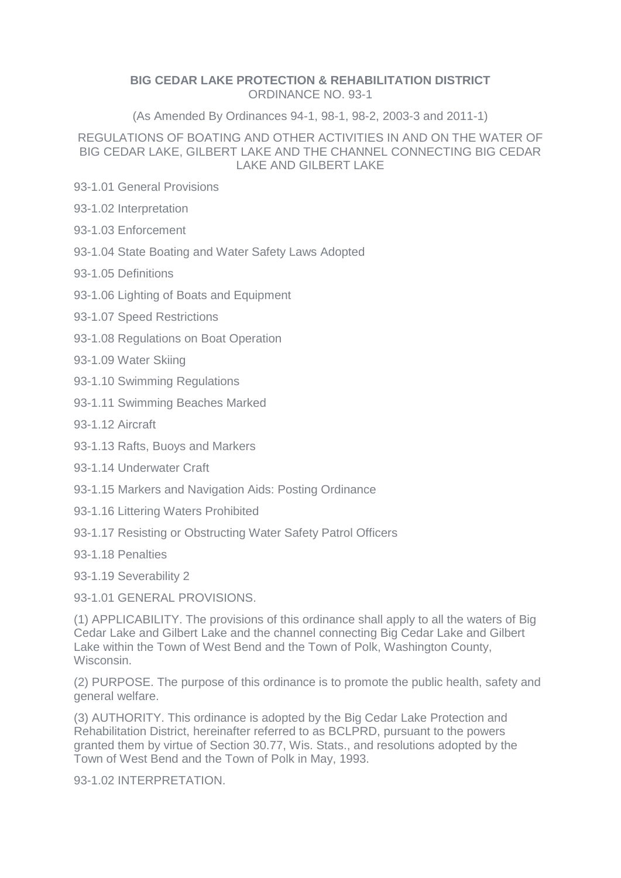#### **BIG CEDAR LAKE PROTECTION & REHABILITATION DISTRICT** ORDINANCE NO. 93-1

(As Amended By Ordinances 94-1, 98-1, 98-2, 2003-3 and 2011-1)

## REGULATIONS OF BOATING AND OTHER ACTIVITIES IN AND ON THE WATER OF BIG CEDAR LAKE, GILBERT LAKE AND THE CHANNEL CONNECTING BIG CEDAR LAKE AND GILBERT LAKE

- 93-1.01 General Provisions
- 93-1.02 Interpretation
- 93-1.03 Enforcement
- 93-1.04 State Boating and Water Safety Laws Adopted
- 93-1.05 Definitions
- 93-1.06 Lighting of Boats and Equipment
- 93-1.07 Speed Restrictions
- 93-1.08 Regulations on Boat Operation
- 93-1.09 Water Skiing
- 93-1.10 Swimming Regulations
- 93-1.11 Swimming Beaches Marked
- 93-1.12 Aircraft
- 93-1.13 Rafts, Buoys and Markers
- 93-1.14 Underwater Craft
- 93-1.15 Markers and Navigation Aids: Posting Ordinance
- 93-1.16 Littering Waters Prohibited
- 93-1.17 Resisting or Obstructing Water Safety Patrol Officers
- 93-1.18 Penalties

93-1.19 Severability 2

93-1.01 GENERAL PROVISIONS.

(1) APPLICABILITY. The provisions of this ordinance shall apply to all the waters of Big Cedar Lake and Gilbert Lake and the channel connecting Big Cedar Lake and Gilbert Lake within the Town of West Bend and the Town of Polk, Washington County, Wisconsin.

(2) PURPOSE. The purpose of this ordinance is to promote the public health, safety and general welfare.

(3) AUTHORITY. This ordinance is adopted by the Big Cedar Lake Protection and Rehabilitation District, hereinafter referred to as BCLPRD, pursuant to the powers granted them by virtue of Section 30.77, Wis. Stats., and resolutions adopted by the Town of West Bend and the Town of Polk in May, 1993.

93-1.02 INTERPRETATION.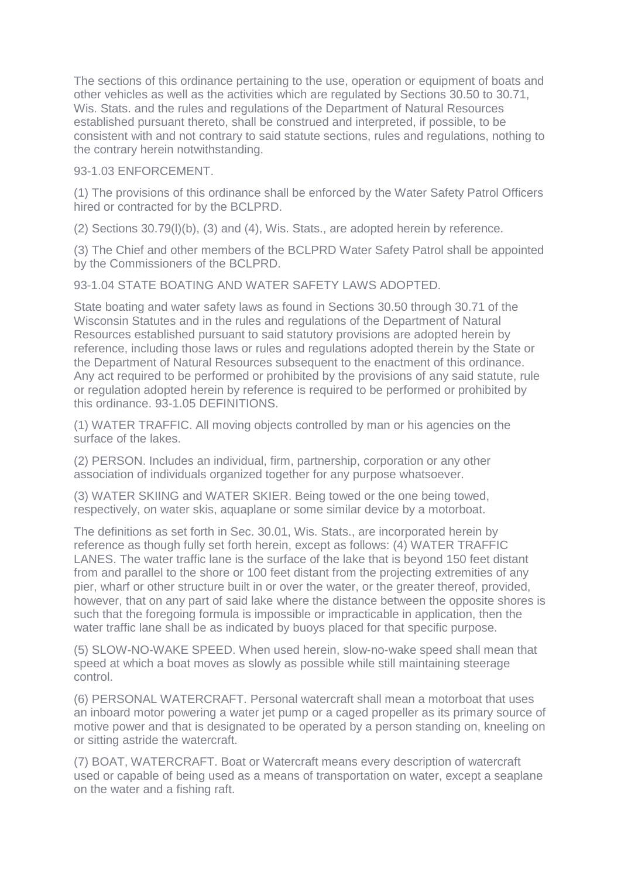The sections of this ordinance pertaining to the use, operation or equipment of boats and other vehicles as well as the activities which are regulated by Sections 30.50 to 30.71, Wis. Stats. and the rules and regulations of the Department of Natural Resources established pursuant thereto, shall be construed and interpreted, if possible, to be consistent with and not contrary to said statute sections, rules and regulations, nothing to the contrary herein notwithstanding.

## 93-1.03 ENFORCEMENT

(1) The provisions of this ordinance shall be enforced by the Water Safety Patrol Officers hired or contracted for by the BCLPRD.

(2) Sections 30.79(l)(b), (3) and (4), Wis. Stats., are adopted herein by reference.

(3) The Chief and other members of the BCLPRD Water Safety Patrol shall be appointed by the Commissioners of the BCLPRD.

93-1.04 STATE BOATING AND WATER SAFETY LAWS ADOPTED.

State boating and water safety laws as found in Sections 30.50 through 30.71 of the Wisconsin Statutes and in the rules and regulations of the Department of Natural Resources established pursuant to said statutory provisions are adopted herein by reference, including those laws or rules and regulations adopted therein by the State or the Department of Natural Resources subsequent to the enactment of this ordinance. Any act required to be performed or prohibited by the provisions of any said statute, rule or regulation adopted herein by reference is required to be performed or prohibited by this ordinance. 93-1.05 DEFINITIONS.

(1) WATER TRAFFIC. All moving objects controlled by man or his agencies on the surface of the lakes.

(2) PERSON. Includes an individual, firm, partnership, corporation or any other association of individuals organized together for any purpose whatsoever.

(3) WATER SKIING and WATER SKIER. Being towed or the one being towed, respectively, on water skis, aquaplane or some similar device by a motorboat.

The definitions as set forth in Sec. 30.01, Wis. Stats., are incorporated herein by reference as though fully set forth herein, except as follows: (4) WATER TRAFFIC LANES. The water traffic lane is the surface of the lake that is beyond 150 feet distant from and parallel to the shore or 100 feet distant from the projecting extremities of any pier, wharf or other structure built in or over the water, or the greater thereof, provided, however, that on any part of said lake where the distance between the opposite shores is such that the foregoing formula is impossible or impracticable in application, then the water traffic lane shall be as indicated by buoys placed for that specific purpose.

(5) SLOW-NO-WAKE SPEED. When used herein, slow-no-wake speed shall mean that speed at which a boat moves as slowly as possible while still maintaining steerage control.

(6) PERSONAL WATERCRAFT. Personal watercraft shall mean a motorboat that uses an inboard motor powering a water jet pump or a caged propeller as its primary source of motive power and that is designated to be operated by a person standing on, kneeling on or sitting astride the watercraft.

(7) BOAT, WATERCRAFT. Boat or Watercraft means every description of watercraft used or capable of being used as a means of transportation on water, except a seaplane on the water and a fishing raft.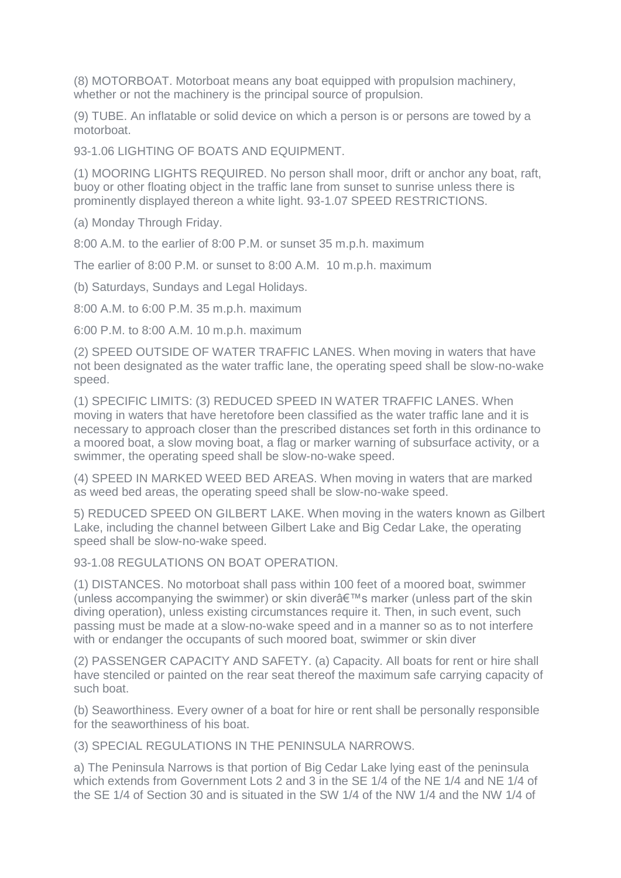(8) MOTORBOAT. Motorboat means any boat equipped with propulsion machinery, whether or not the machinery is the principal source of propulsion.

(9) TUBE. An inflatable or solid device on which a person is or persons are towed by a motorboat.

93-1.06 LIGHTING OF BOATS AND EQUIPMENT.

(1) MOORING LIGHTS REQUIRED. No person shall moor, drift or anchor any boat, raft, buoy or other floating object in the traffic lane from sunset to sunrise unless there is prominently displayed thereon a white light. 93-1.07 SPEED RESTRICTIONS.

(a) Monday Through Friday.

8:00 A.M. to the earlier of 8:00 P.M. or sunset 35 m.p.h. maximum

The earlier of 8:00 P.M. or sunset to 8:00 A.M. 10 m.p.h. maximum

(b) Saturdays, Sundays and Legal Holidays.

8:00 A.M. to 6:00 P.M. 35 m.p.h. maximum

6:00 P.M. to 8:00 A.M. 10 m.p.h. maximum

(2) SPEED OUTSIDE OF WATER TRAFFIC LANES. When moving in waters that have not been designated as the water traffic lane, the operating speed shall be slow-no-wake speed.

(1) SPECIFIC LIMITS: (3) REDUCED SPEED IN WATER TRAFFIC LANES. When moving in waters that have heretofore been classified as the water traffic lane and it is necessary to approach closer than the prescribed distances set forth in this ordinance to a moored boat, a slow moving boat, a flag or marker warning of subsurface activity, or a swimmer, the operating speed shall be slow-no-wake speed.

(4) SPEED IN MARKED WEED BED AREAS. When moving in waters that are marked as weed bed areas, the operating speed shall be slow-no-wake speed.

5) REDUCED SPEED ON GILBERT LAKE. When moving in the waters known as Gilbert Lake, including the channel between Gilbert Lake and Big Cedar Lake, the operating speed shall be slow-no-wake speed.

93-1.08 REGULATIONS ON BOAT OPERATION.

(1) DISTANCES. No motorboat shall pass within 100 feet of a moored boat, swimmer (unless accompanying the swimmer) or skin diver's marker (unless part of the skin diving operation), unless existing circumstances require it. Then, in such event, such passing must be made at a slow-no-wake speed and in a manner so as to not interfere with or endanger the occupants of such moored boat, swimmer or skin diver

(2) PASSENGER CAPACITY AND SAFETY. (a) Capacity. All boats for rent or hire shall have stenciled or painted on the rear seat thereof the maximum safe carrying capacity of such boat.

(b) Seaworthiness. Every owner of a boat for hire or rent shall be personally responsible for the seaworthiness of his boat.

(3) SPECIAL REGULATIONS IN THE PENINSULA NARROWS.

a) The Peninsula Narrows is that portion of Big Cedar Lake lying east of the peninsula which extends from Government Lots 2 and 3 in the SE 1/4 of the NE 1/4 and NE 1/4 of the SE 1/4 of Section 30 and is situated in the SW 1/4 of the NW 1/4 and the NW 1/4 of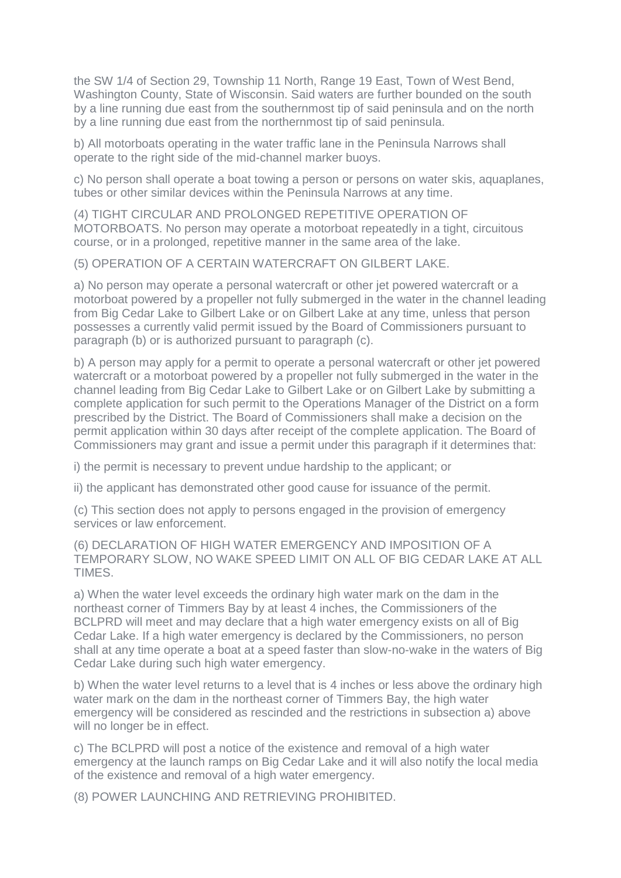the SW 1/4 of Section 29, Township 11 North, Range 19 East, Town of West Bend, Washington County, State of Wisconsin. Said waters are further bounded on the south by a line running due east from the southernmost tip of said peninsula and on the north by a line running due east from the northernmost tip of said peninsula.

b) All motorboats operating in the water traffic lane in the Peninsula Narrows shall operate to the right side of the mid-channel marker buoys.

c) No person shall operate a boat towing a person or persons on water skis, aquaplanes, tubes or other similar devices within the Peninsula Narrows at any time.

(4) TIGHT CIRCULAR AND PROLONGED REPETITIVE OPERATION OF MOTORBOATS. No person may operate a motorboat repeatedly in a tight, circuitous course, or in a prolonged, repetitive manner in the same area of the lake.

(5) OPERATION OF A CERTAIN WATERCRAFT ON GILBERT LAKE.

a) No person may operate a personal watercraft or other jet powered watercraft or a motorboat powered by a propeller not fully submerged in the water in the channel leading from Big Cedar Lake to Gilbert Lake or on Gilbert Lake at any time, unless that person possesses a currently valid permit issued by the Board of Commissioners pursuant to paragraph (b) or is authorized pursuant to paragraph (c).

b) A person may apply for a permit to operate a personal watercraft or other jet powered watercraft or a motorboat powered by a propeller not fully submerged in the water in the channel leading from Big Cedar Lake to Gilbert Lake or on Gilbert Lake by submitting a complete application for such permit to the Operations Manager of the District on a form prescribed by the District. The Board of Commissioners shall make a decision on the permit application within 30 days after receipt of the complete application. The Board of Commissioners may grant and issue a permit under this paragraph if it determines that:

i) the permit is necessary to prevent undue hardship to the applicant; or

ii) the applicant has demonstrated other good cause for issuance of the permit.

(c) This section does not apply to persons engaged in the provision of emergency services or law enforcement.

(6) DECLARATION OF HIGH WATER EMERGENCY AND IMPOSITION OF A TEMPORARY SLOW, NO WAKE SPEED LIMIT ON ALL OF BIG CEDAR LAKE AT ALL TIMES.

a) When the water level exceeds the ordinary high water mark on the dam in the northeast corner of Timmers Bay by at least 4 inches, the Commissioners of the BCLPRD will meet and may declare that a high water emergency exists on all of Big Cedar Lake. If a high water emergency is declared by the Commissioners, no person shall at any time operate a boat at a speed faster than slow-no-wake in the waters of Big Cedar Lake during such high water emergency.

b) When the water level returns to a level that is 4 inches or less above the ordinary high water mark on the dam in the northeast corner of Timmers Bay, the high water emergency will be considered as rescinded and the restrictions in subsection a) above will no longer be in effect.

c) The BCLPRD will post a notice of the existence and removal of a high water emergency at the launch ramps on Big Cedar Lake and it will also notify the local media of the existence and removal of a high water emergency.

(8) POWER LAUNCHING AND RETRIEVING PROHIBITED.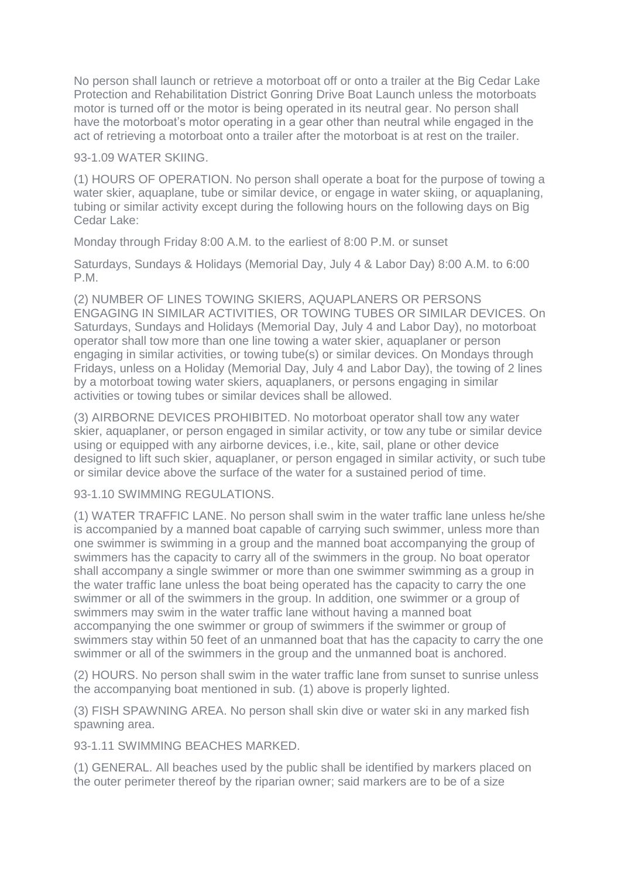No person shall launch or retrieve a motorboat off or onto a trailer at the Big Cedar Lake Protection and Rehabilitation District Gonring Drive Boat Launch unless the motorboats motor is turned off or the motor is being operated in its neutral gear. No person shall have the motorboat's motor operating in a gear other than neutral while engaged in the act of retrieving a motorboat onto a trailer after the motorboat is at rest on the trailer.

#### 93-1.09 WATER SKIING.

(1) HOURS OF OPERATION. No person shall operate a boat for the purpose of towing a water skier, aquaplane, tube or similar device, or engage in water skiing, or aquaplaning, tubing or similar activity except during the following hours on the following days on Big Cedar Lake:

Monday through Friday 8:00 A.M. to the earliest of 8:00 P.M. or sunset

Saturdays, Sundays & Holidays (Memorial Day, July 4 & Labor Day) 8:00 A.M. to 6:00 P.M.

(2) NUMBER OF LINES TOWING SKIERS, AQUAPLANERS OR PERSONS ENGAGING IN SIMILAR ACTIVITIES, OR TOWING TUBES OR SIMILAR DEVICES. On Saturdays, Sundays and Holidays (Memorial Day, July 4 and Labor Day), no motorboat operator shall tow more than one line towing a water skier, aquaplaner or person engaging in similar activities, or towing tube(s) or similar devices. On Mondays through Fridays, unless on a Holiday (Memorial Day, July 4 and Labor Day), the towing of 2 lines by a motorboat towing water skiers, aquaplaners, or persons engaging in similar activities or towing tubes or similar devices shall be allowed.

(3) AIRBORNE DEVICES PROHIBITED. No motorboat operator shall tow any water skier, aquaplaner, or person engaged in similar activity, or tow any tube or similar device using or equipped with any airborne devices, i.e., kite, sail, plane or other device designed to lift such skier, aquaplaner, or person engaged in similar activity, or such tube or similar device above the surface of the water for a sustained period of time.

# 93-1.10 SWIMMING REGULATIONS

(1) WATER TRAFFIC LANE. No person shall swim in the water traffic lane unless he/she is accompanied by a manned boat capable of carrying such swimmer, unless more than one swimmer is swimming in a group and the manned boat accompanying the group of swimmers has the capacity to carry all of the swimmers in the group. No boat operator shall accompany a single swimmer or more than one swimmer swimming as a group in the water traffic lane unless the boat being operated has the capacity to carry the one swimmer or all of the swimmers in the group. In addition, one swimmer or a group of swimmers may swim in the water traffic lane without having a manned boat accompanying the one swimmer or group of swimmers if the swimmer or group of swimmers stay within 50 feet of an unmanned boat that has the capacity to carry the one swimmer or all of the swimmers in the group and the unmanned boat is anchored.

(2) HOURS. No person shall swim in the water traffic lane from sunset to sunrise unless the accompanying boat mentioned in sub. (1) above is properly lighted.

(3) FISH SPAWNING AREA. No person shall skin dive or water ski in any marked fish spawning area.

93-1.11 SWIMMING BEACHES MARKED.

(1) GENERAL. All beaches used by the public shall be identified by markers placed on the outer perimeter thereof by the riparian owner; said markers are to be of a size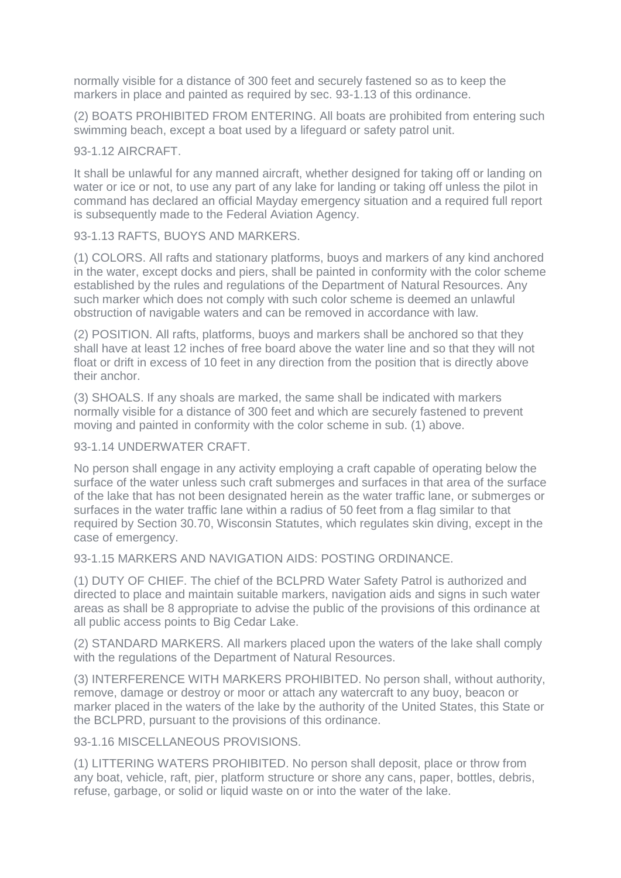normally visible for a distance of 300 feet and securely fastened so as to keep the markers in place and painted as required by sec. 93-1.13 of this ordinance.

(2) BOATS PROHIBITED FROM ENTERING. All boats are prohibited from entering such swimming beach, except a boat used by a lifeguard or safety patrol unit.

#### 93-1.12 AIRCRAFT.

It shall be unlawful for any manned aircraft, whether designed for taking off or landing on water or ice or not, to use any part of any lake for landing or taking off unless the pilot in command has declared an official Mayday emergency situation and a required full report is subsequently made to the Federal Aviation Agency.

#### 93-1.13 RAFTS, BUOYS AND MARKERS.

(1) COLORS. All rafts and stationary platforms, buoys and markers of any kind anchored in the water, except docks and piers, shall be painted in conformity with the color scheme established by the rules and regulations of the Department of Natural Resources. Any such marker which does not comply with such color scheme is deemed an unlawful obstruction of navigable waters and can be removed in accordance with law.

(2) POSITION. All rafts, platforms, buoys and markers shall be anchored so that they shall have at least 12 inches of free board above the water line and so that they will not float or drift in excess of 10 feet in any direction from the position that is directly above their anchor.

(3) SHOALS. If any shoals are marked, the same shall be indicated with markers normally visible for a distance of 300 feet and which are securely fastened to prevent moving and painted in conformity with the color scheme in sub. (1) above.

#### 93-1.14 UNDERWATER CRAFT.

No person shall engage in any activity employing a craft capable of operating below the surface of the water unless such craft submerges and surfaces in that area of the surface of the lake that has not been designated herein as the water traffic lane, or submerges or surfaces in the water traffic lane within a radius of 50 feet from a flag similar to that required by Section 30.70, Wisconsin Statutes, which regulates skin diving, except in the case of emergency.

93-1.15 MARKERS AND NAVIGATION AIDS: POSTING ORDINANCE.

(1) DUTY OF CHIEF. The chief of the BCLPRD Water Safety Patrol is authorized and directed to place and maintain suitable markers, navigation aids and signs in such water areas as shall be 8 appropriate to advise the public of the provisions of this ordinance at all public access points to Big Cedar Lake.

(2) STANDARD MARKERS. All markers placed upon the waters of the lake shall comply with the regulations of the Department of Natural Resources.

(3) INTERFERENCE WITH MARKERS PROHIBITED. No person shall, without authority, remove, damage or destroy or moor or attach any watercraft to any buoy, beacon or marker placed in the waters of the lake by the authority of the United States, this State or the BCLPRD, pursuant to the provisions of this ordinance.

93-1.16 MISCELLANEOUS PROVISIONS.

(1) LITTERING WATERS PROHIBITED. No person shall deposit, place or throw from any boat, vehicle, raft, pier, platform structure or shore any cans, paper, bottles, debris, refuse, garbage, or solid or liquid waste on or into the water of the lake.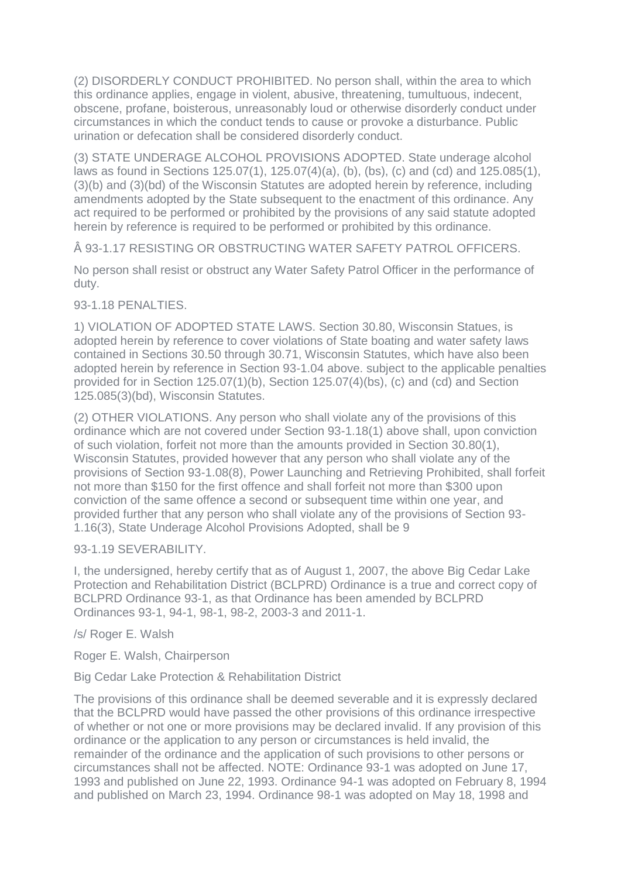(2) DISORDERLY CONDUCT PROHIBITED. No person shall, within the area to which this ordinance applies, engage in violent, abusive, threatening, tumultuous, indecent, obscene, profane, boisterous, unreasonably loud or otherwise disorderly conduct under circumstances in which the conduct tends to cause or provoke a disturbance. Public urination or defecation shall be considered disorderly conduct.

(3) STATE UNDERAGE ALCOHOL PROVISIONS ADOPTED. State underage alcohol laws as found in Sections 125.07(1), 125.07(4)(a), (b), (bs), (c) and (cd) and 125.085(1), (3)(b) and (3)(bd) of the Wisconsin Statutes are adopted herein by reference, including amendments adopted by the State subsequent to the enactment of this ordinance. Any act required to be performed or prohibited by the provisions of any said statute adopted herein by reference is required to be performed or prohibited by this ordinance.

Â 93-1.17 RESISTING OR OBSTRUCTING WATER SAFETY PATROL OFFICERS.

No person shall resist or obstruct any Water Safety Patrol Officer in the performance of duty.

93-1.18 PENALTIES.

1) VIOLATION OF ADOPTED STATE LAWS. Section 30.80, Wisconsin Statues, is adopted herein by reference to cover violations of State boating and water safety laws contained in Sections 30.50 through 30.71, Wisconsin Statutes, which have also been adopted herein by reference in Section 93-1.04 above. subject to the applicable penalties provided for in Section 125.07(1)(b), Section 125.07(4)(bs), (c) and (cd) and Section 125.085(3)(bd), Wisconsin Statutes.

(2) OTHER VIOLATIONS. Any person who shall violate any of the provisions of this ordinance which are not covered under Section 93-1.18(1) above shall, upon conviction of such violation, forfeit not more than the amounts provided in Section 30.80(1), Wisconsin Statutes, provided however that any person who shall violate any of the provisions of Section 93-1.08(8), Power Launching and Retrieving Prohibited, shall forfeit not more than \$150 for the first offence and shall forfeit not more than \$300 upon conviction of the same offence a second or subsequent time within one year, and provided further that any person who shall violate any of the provisions of Section 93- 1.16(3), State Underage Alcohol Provisions Adopted, shall be 9

93-1.19 SEVERABILITY.

I, the undersigned, hereby certify that as of August 1, 2007, the above Big Cedar Lake Protection and Rehabilitation District (BCLPRD) Ordinance is a true and correct copy of BCLPRD Ordinance 93-1, as that Ordinance has been amended by BCLPRD Ordinances 93-1, 94-1, 98-1, 98-2, 2003-3 and 2011-1.

/s/ Roger E. Walsh

Roger E. Walsh, Chairperson

Big Cedar Lake Protection & Rehabilitation District

The provisions of this ordinance shall be deemed severable and it is expressly declared that the BCLPRD would have passed the other provisions of this ordinance irrespective of whether or not one or more provisions may be declared invalid. If any provision of this ordinance or the application to any person or circumstances is held invalid, the remainder of the ordinance and the application of such provisions to other persons or circumstances shall not be affected. NOTE: Ordinance 93-1 was adopted on June 17, 1993 and published on June 22, 1993. Ordinance 94-1 was adopted on February 8, 1994 and published on March 23, 1994. Ordinance 98-1 was adopted on May 18, 1998 and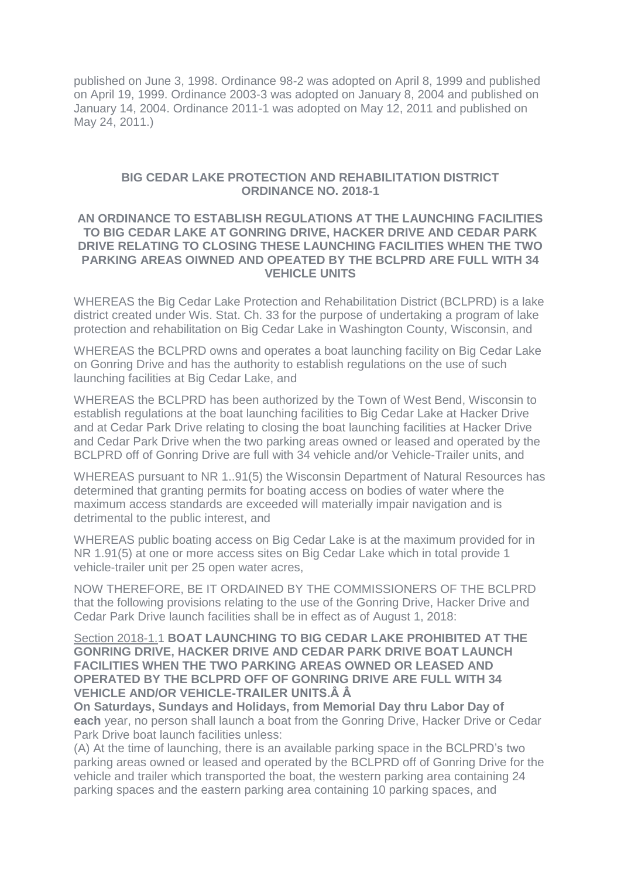published on June 3, 1998. Ordinance 98-2 was adopted on April 8, 1999 and published on April 19, 1999. Ordinance 2003-3 was adopted on January 8, 2004 and published on January 14, 2004. Ordinance 2011-1 was adopted on May 12, 2011 and published on May 24, 2011.)

#### **BIG CEDAR LAKE PROTECTION AND REHABILITATION DISTRICT ORDINANCE NO. 2018-1**

#### **AN ORDINANCE TO ESTABLISH REGULATIONS AT THE LAUNCHING FACILITIES TO BIG CEDAR LAKE AT GONRING DRIVE, HACKER DRIVE AND CEDAR PARK DRIVE RELATING TO CLOSING THESE LAUNCHING FACILITIES WHEN THE TWO PARKING AREAS OIWNED AND OPEATED BY THE BCLPRD ARE FULL WITH 34 VEHICLE UNITS**

WHEREAS the Big Cedar Lake Protection and Rehabilitation District (BCLPRD) is a lake district created under Wis. Stat. Ch. 33 for the purpose of undertaking a program of lake protection and rehabilitation on Big Cedar Lake in Washington County, Wisconsin, and

WHEREAS the BCLPRD owns and operates a boat launching facility on Big Cedar Lake on Gonring Drive and has the authority to establish regulations on the use of such launching facilities at Big Cedar Lake, and

WHEREAS the BCLPRD has been authorized by the Town of West Bend, Wisconsin to establish regulations at the boat launching facilities to Big Cedar Lake at Hacker Drive and at Cedar Park Drive relating to closing the boat launching facilities at Hacker Drive and Cedar Park Drive when the two parking areas owned or leased and operated by the BCLPRD off of Gonring Drive are full with 34 vehicle and/or Vehicle-Trailer units, and

WHEREAS pursuant to NR 1..91(5) the Wisconsin Department of Natural Resources has determined that granting permits for boating access on bodies of water where the maximum access standards are exceeded will materially impair navigation and is detrimental to the public interest, and

WHEREAS public boating access on Big Cedar Lake is at the maximum provided for in NR 1.91(5) at one or more access sites on Big Cedar Lake which in total provide 1 vehicle-trailer unit per 25 open water acres,

NOW THEREFORE, BE IT ORDAINED BY THE COMMISSIONERS OF THE BCLPRD that the following provisions relating to the use of the Gonring Drive, Hacker Drive and Cedar Park Drive launch facilities shall be in effect as of August 1, 2018:

Section 2018-1.1 **BOAT LAUNCHING TO BIG CEDAR LAKE PROHIBITED AT THE GONRING DRIVE, HACKER DRIVE AND CEDAR PARK DRIVE BOAT LAUNCH FACILITIES WHEN THE TWO PARKING AREAS OWNED OR LEASED AND OPERATED BY THE BCLPRD OFF OF GONRING DRIVE ARE FULL WITH 34 VEHICLE AND/OR VEHICLE-TRAILER UNITS.Â Â**

**On Saturdays, Sundays and Holidays, from Memorial Day thru Labor Day of each** year, no person shall launch a boat from the Gonring Drive, Hacker Drive or Cedar Park Drive boat launch facilities unless:

(A) At the time of launching, there is an available parking space in the BCLPRD's two parking areas owned or leased and operated by the BCLPRD off of Gonring Drive for the vehicle and trailer which transported the boat, the western parking area containing 24 parking spaces and the eastern parking area containing 10 parking spaces, and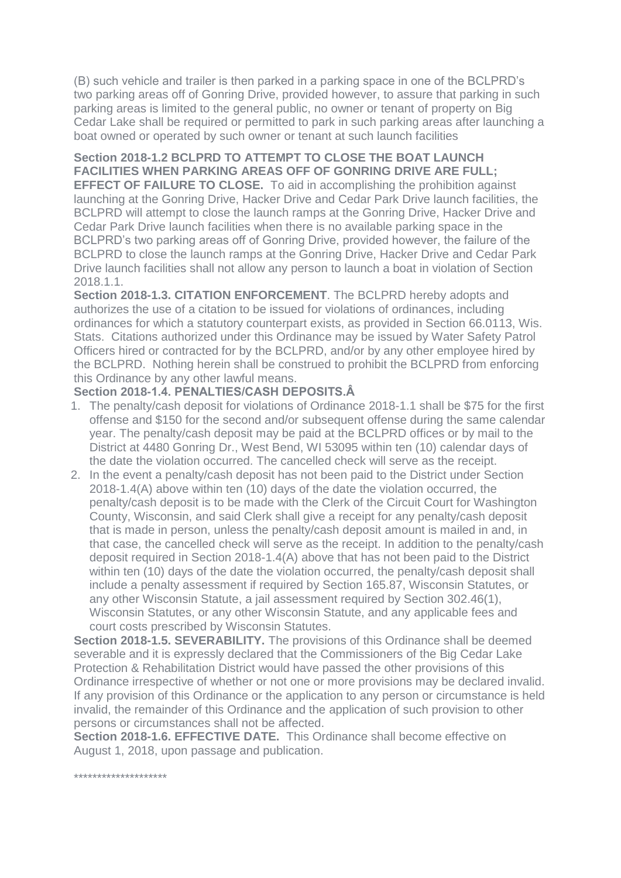(B) such vehicle and trailer is then parked in a parking space in one of the BCLPRD's two parking areas off of Gonring Drive, provided however, to assure that parking in such parking areas is limited to the general public, no owner or tenant of property on Big Cedar Lake shall be required or permitted to park in such parking areas after launching a boat owned or operated by such owner or tenant at such launch facilities

# **Section 2018-1.2 BCLPRD TO ATTEMPT TO CLOSE THE BOAT LAUNCH FACILITIES WHEN PARKING AREAS OFF OF GONRING DRIVE ARE FULL;**

**EFFECT OF FAILURE TO CLOSE.** To aid in accomplishing the prohibition against launching at the Gonring Drive, Hacker Drive and Cedar Park Drive launch facilities, the BCLPRD will attempt to close the launch ramps at the Gonring Drive, Hacker Drive and Cedar Park Drive launch facilities when there is no available parking space in the BCLPRD's two parking areas off of Gonring Drive, provided however, the failure of the BCLPRD to close the launch ramps at the Gonring Drive, Hacker Drive and Cedar Park Drive launch facilities shall not allow any person to launch a boat in violation of Section 2018.1.1.

**Section 2018-1.3. CITATION ENFORCEMENT**. The BCLPRD hereby adopts and authorizes the use of a citation to be issued for violations of ordinances, including ordinances for which a statutory counterpart exists, as provided in Section 66.0113, Wis. Stats. Citations authorized under this Ordinance may be issued by Water Safety Patrol Officers hired or contracted for by the BCLPRD, and/or by any other employee hired by the BCLPRD. Nothing herein shall be construed to prohibit the BCLPRD from enforcing this Ordinance by any other lawful means.

## **Section 2018-1.4. PENALTIES/CASH DEPOSITS.Â**

- 1. The penalty/cash deposit for violations of Ordinance 2018-1.1 shall be \$75 for the first offense and \$150 for the second and/or subsequent offense during the same calendar year. The penalty/cash deposit may be paid at the BCLPRD offices or by mail to the District at 4480 Gonring Dr., West Bend, WI 53095 within ten (10) calendar days of the date the violation occurred. The cancelled check will serve as the receipt.
- 2. In the event a penalty/cash deposit has not been paid to the District under Section 2018-1.4(A) above within ten (10) days of the date the violation occurred, the penalty/cash deposit is to be made with the Clerk of the Circuit Court for Washington County, Wisconsin, and said Clerk shall give a receipt for any penalty/cash deposit that is made in person, unless the penalty/cash deposit amount is mailed in and, in that case, the cancelled check will serve as the receipt. In addition to the penalty/cash deposit required in Section 2018-1.4(A) above that has not been paid to the District within ten (10) days of the date the violation occurred, the penalty/cash deposit shall include a penalty assessment if required by Section 165.87, Wisconsin Statutes, or any other Wisconsin Statute, a jail assessment required by Section 302.46(1), Wisconsin Statutes, or any other Wisconsin Statute, and any applicable fees and court costs prescribed by Wisconsin Statutes.

**Section 2018-1.5. SEVERABILITY.** The provisions of this Ordinance shall be deemed severable and it is expressly declared that the Commissioners of the Big Cedar Lake Protection & Rehabilitation District would have passed the other provisions of this Ordinance irrespective of whether or not one or more provisions may be declared invalid. If any provision of this Ordinance or the application to any person or circumstance is held invalid, the remainder of this Ordinance and the application of such provision to other persons or circumstances shall not be affected.

**Section 2018-1.6. EFFECTIVE DATE.** This Ordinance shall become effective on August 1, 2018, upon passage and publication.

\*\*\*\*\*\*\*\*\*\*\*\*\*\*\*\*\*\*\*\*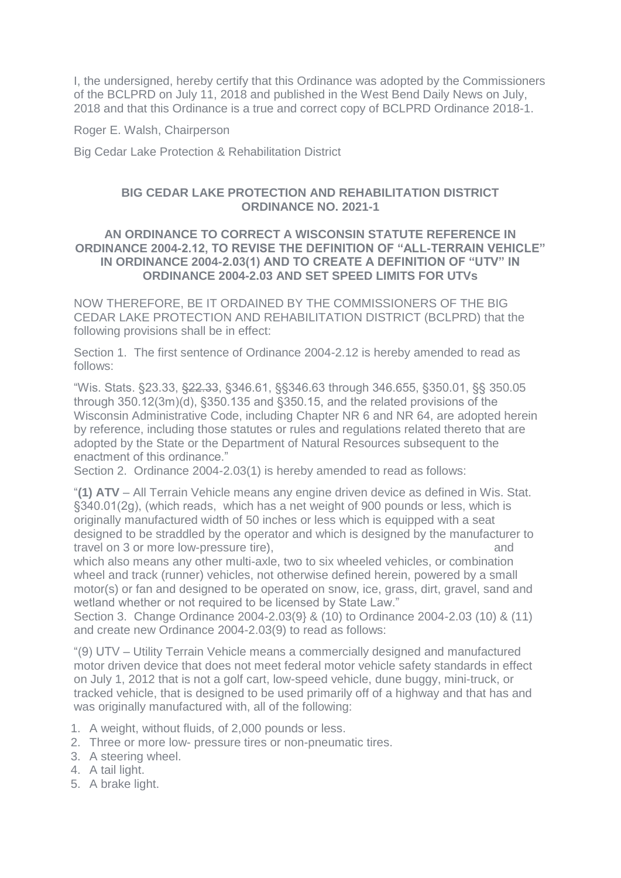I, the undersigned, hereby certify that this Ordinance was adopted by the Commissioners of the BCLPRD on July 11, 2018 and published in the West Bend Daily News on July, 2018 and that this Ordinance is a true and correct copy of BCLPRD Ordinance 2018-1.

Roger E. Walsh, Chairperson

Big Cedar Lake Protection & Rehabilitation District

## **BIG CEDAR LAKE PROTECTION AND REHABILITATION DISTRICT ORDINANCE NO. 2021-1**

#### **AN ORDINANCE TO CORRECT A WISCONSIN STATUTE REFERENCE IN ORDINANCE 2004-2.12, TO REVISE THE DEFINITION OF "ALL-TERRAIN VEHICLE" IN ORDINANCE 2004-2.03(1) AND TO CREATE A DEFINITION OF "UTV" IN ORDINANCE 2004-2.03 AND SET SPEED LIMITS FOR UTVs**

NOW THEREFORE, BE IT ORDAINED BY THE COMMISSIONERS OF THE BIG CEDAR LAKE PROTECTION AND REHABILITATION DISTRICT (BCLPRD) that the following provisions shall be in effect:

Section 1. The first sentence of Ordinance 2004-2.12 is hereby amended to read as follows:

"Wis. Stats. §23.33, §22.33, §346.61, §§346.63 through 346.655, §350.01, §§ 350.05 through 350.12(3m)(d), §350.135 and §350.15, and the related provisions of the Wisconsin Administrative Code, including Chapter NR 6 and NR 64, are adopted herein by reference, including those statutes or rules and regulations related thereto that are adopted by the State or the Department of Natural Resources subsequent to the enactment of this ordinance."

Section 2. Ordinance 2004-2.03(1) is hereby amended to read as follows:

"**(1) ATV** – All Terrain Vehicle means any engine driven device as defined in Wis. Stat. §340.01(2g), (which reads, which has a net weight of 900 pounds or less, which is originally manufactured width of 50 inches or less which is equipped with a seat designed to be straddled by the operator and which is designed by the manufacturer to travel on 3 or more low-pressure tire), the state of the state of the state of the state of the state of the state of the state of the state of the state of the state of the state of the state of the state of the state of

which also means any other multi-axle, two to six wheeled vehicles, or combination wheel and track (runner) vehicles, not otherwise defined herein, powered by a small motor(s) or fan and designed to be operated on snow, ice, grass, dirt, gravel, sand and wetland whether or not required to be licensed by State Law."

Section 3. Change Ordinance 2004-2.03(9} & (10) to Ordinance 2004-2.03 (10) & (11) and create new Ordinance 2004-2.03(9) to read as follows:

"(9) UTV – Utility Terrain Vehicle means a commercially designed and manufactured motor driven device that does not meet federal motor vehicle safety standards in effect on July 1, 2012 that is not a golf cart, low-speed vehicle, dune buggy, mini-truck, or tracked vehicle, that is designed to be used primarily off of a highway and that has and was originally manufactured with, all of the following:

- 1. A weight, without fluids, of 2,000 pounds or less.
- 2. Three or more low- pressure tires or non-pneumatic tires.
- 3. A steering wheel.
- 4. A tail light.
- 5. A brake light.